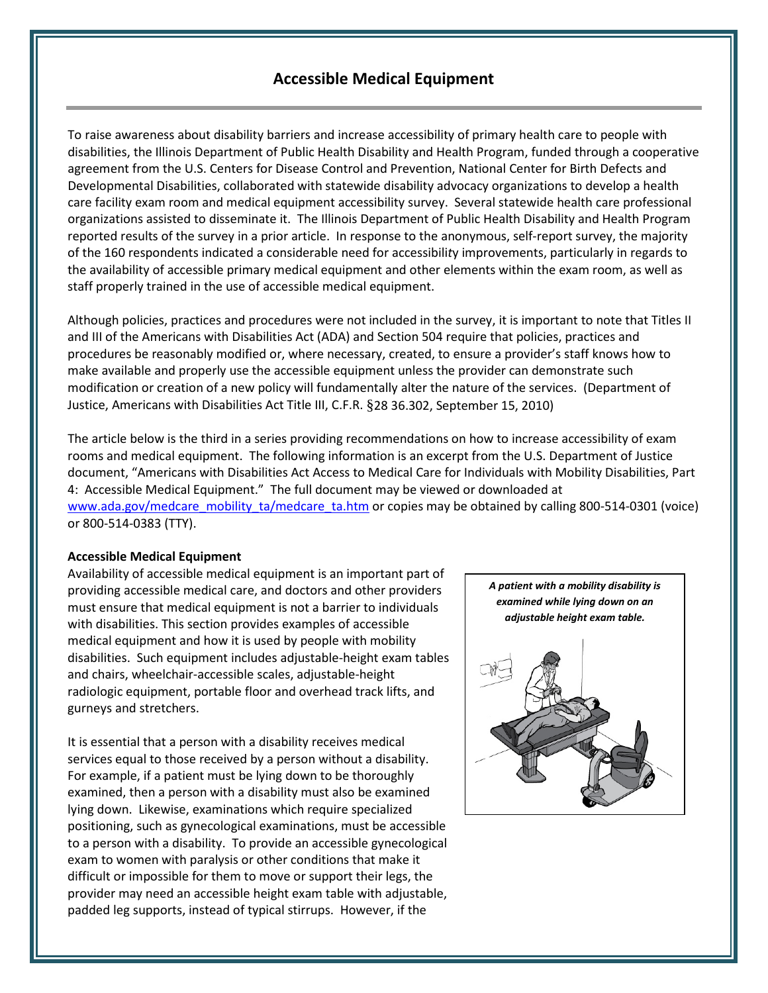## **Accessible Medical Equipment**

To raise awareness about disability barriers and increase accessibility of primary health care to people with disabilities, the Illinois Department of Public Health Disability and Health Program, funded through a cooperative agreement from the U.S. Centers for Disease Control and Prevention, National Center for Birth Defects and Developmental Disabilities, collaborated with statewide disability advocacy organizations to develop a health care facility exam room and medical equipment accessibility survey. Several statewide health care professional organizations assisted to disseminate it. The Illinois Department of Public Health Disability and Health Program reported results of the survey in a prior article. In response to the anonymous, self-report survey, the majority of the 160 respondents indicated a considerable need for accessibili*t*y improvements, particularly in regards to the availability of accessible primary medical equipment and other elements within the exam room, as well as staff properly trained in the use of accessible medical equipment.

Although policies, practices and procedures were not included in the survey, it is important to note that Titles II and III of the Americans with Disabilities Act (ADA) and Section 504 require that policies, practices and procedures be reasonably modified or, where necessary, created, to ensure a provider's staff knows how to make available and properly use the accessible equipment unless the provider can demonstrate such modification or creation of a new policy will fundamentally alter the nature of the services. (Department of Justice, Americans with Disabilities Act Title III, C.F.R. §28 36.302, September 15, 2010)

The article below is the third in a series providing recommendations on how to increase accessibility of exam rooms and medical equipment. The following information is an excerpt from the U.S. Department of Justice document, "Americans with Disabilities Act Access to Medical Care for Individuals with Mobility Disabilities, Part 4: Accessible Medical Equipment." The full document may be viewed or downloaded at [www.ada.gov/medcare\\_mobility\\_ta/medcare\\_ta.htm](http://www.ada.gov/medcare_mobility_ta/medcare_ta.htm) or copies may be obtained by calling 800-514-0301 (voice) or 800-514-0383 (TTY).

## **Accessible Medical Equipment**

Availability of accessible medical equipment is an important part of providing accessible medical care, and doctors and other providers must ensure that medical equipment is not a barrier to individuals with disabilities. This section provides examples of accessible medical equipment and how it is used by people with mobility disabilities. Such equipment includes adjustable-height exam tables and chairs, wheelchair-accessible scales, adjustable-height radiologic equipment, portable floor and overhead track lifts, and gurneys and stretchers.

It is essential that a person with a disability receives medical services equal to those received by a person without a disability. For example, if a patient must be lying down to be thoroughly examined, then a person with a disability must also be examined lying down. Likewise, examinations which require specialized positioning, such as gynecological examinations, must be accessible to a person with a disability. To provide an accessible gynecological exam to women with paralysis or other conditions that make it difficult or impossible for them to move or support their legs, the provider may need an accessible height exam table with adjustable, padded leg supports, instead of typical stirrups. However, if the

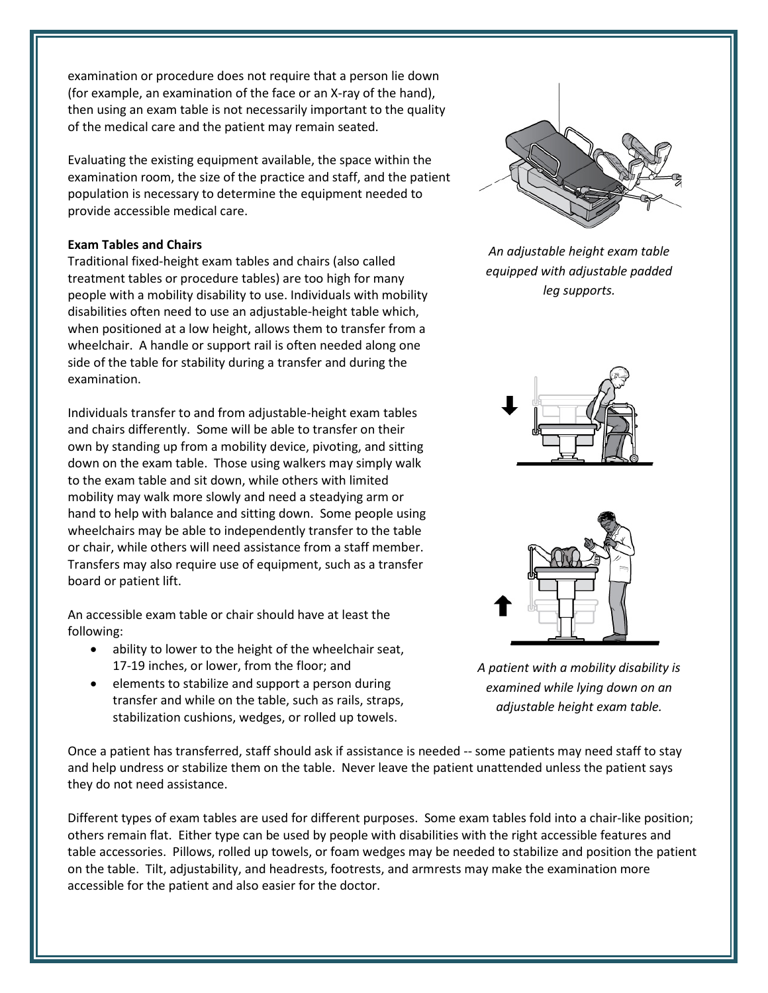examination or procedure does not require that a person lie down (for example, an examination of the face or an X-ray of the hand), then using an exam table is not necessarily important to the quality of the medical care and the patient may remain seated.

Evaluating the existing equipment available, the space within the examination room, the size of the practice and staff, and the patient population is necessary to determine the equipment needed to provide accessible medical care.

## **Exam Tables and Chairs**

Traditional fixed-height exam tables and chairs (also called treatment tables or procedure tables) are too high for many people with a mobility disability to use. Individuals with mobility disabilities often need to use an adjustable-height table which, when positioned at a low height, allows them to transfer from a wheelchair. A handle or support rail is often needed along one side of the table for stability during a transfer and during the examination.

Individuals transfer to and from adjustable-height exam tables and chairs differently. Some will be able to transfer on their own by standing up from a mobility device, pivoting, and sitting down on the exam table. Those using walkers may simply walk to the exam table and sit down, while others with limited mobility may walk more slowly and need a steadying arm or hand to help with balance and sitting down. Some people using wheelchairs may be able to independently transfer to the table or chair, while others will need assistance from a staff member. Transfers may also require use of equipment, such as a transfer board or patient lift.

An accessible exam table or chair should have at least the following:

- ability to lower to the height of the wheelchair seat, 17-19 inches, or lower, from the floor; and
- elements to stabilize and support a person during transfer and while on the table, such as rails, straps, stabilization cushions, wedges, or rolled up towels.

Once a patient has transferred, staff should ask if assistance is needed -- some patients may need staff to stay and help undress or stabilize them on the table. Never leave the patient unattended unless the patient says they do not need assistance.

Different types of exam tables are used for different purposes. Some exam tables fold into a chair-like position; others remain flat. Either type can be used by people with disabilities with the right accessible features and table accessories. Pillows, rolled up towels, or foam wedges may be needed to stabilize and position the patient on the table. Tilt, adjustability, and headrests, footrests, and armrests may make the examination more accessible for the patient and also easier for the doctor.



*An adjustable height exam table equipped with adjustable padded leg supports.*





*A patient with a mobility disability is examined while lying down on an adjustable height exam table.*